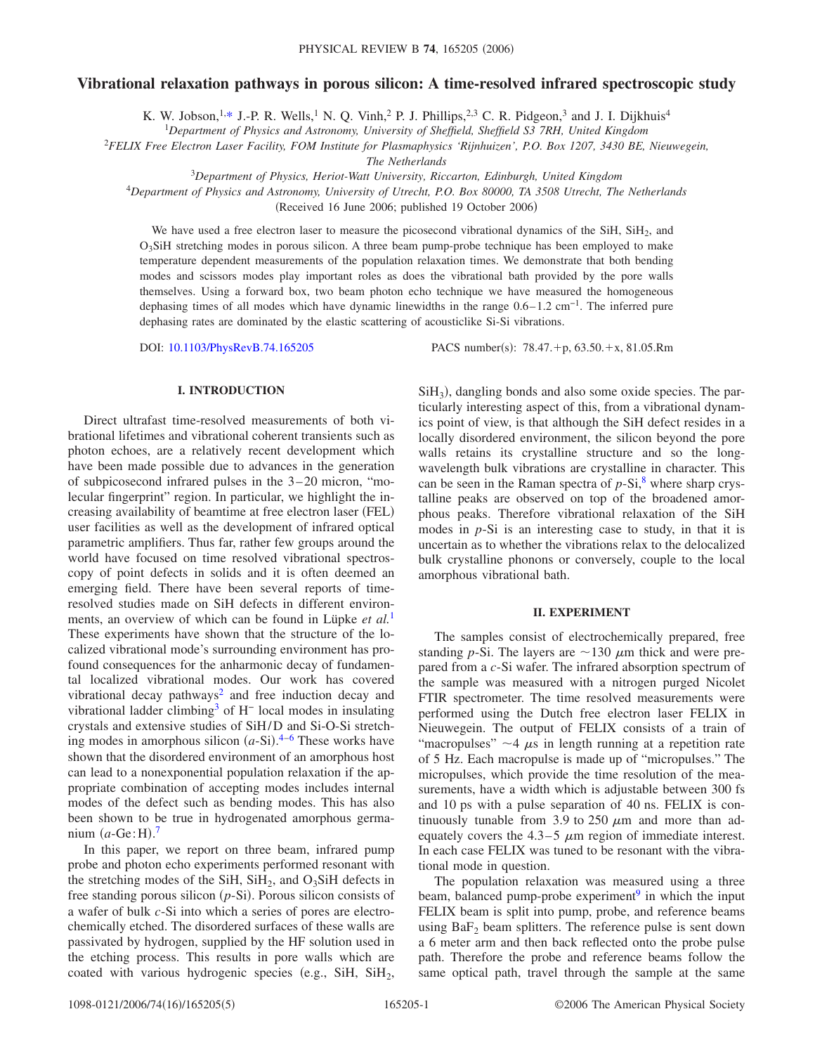# **Vibrational relaxation pathways in porous silicon: A time-resolved infrared spectroscopic study**

K. W. Jobson,<sup>1[,\\*](#page-4-0)</sup> J.-P. R. Wells,<sup>1</sup> N. Q. Vinh,<sup>2</sup> P. J. Phillips,<sup>2,3</sup> C. R. Pidgeon,<sup>3</sup> and J. I. Dijkhuis<sup>4</sup>

1 *Department of Physics and Astronomy, University of Sheffield, Sheffield S3 7RH, United Kingdom*

<sup>2</sup>*FELIX Free Electron Laser Facility, FOM Institute for Plasmaphysics 'Rijnhuizen', P.O. Box 1207, 3430 BE, Nieuwegein,*

*The Netherlands*

<sup>3</sup>*Department of Physics, Heriot-Watt University, Riccarton, Edinburgh, United Kingdom*

<sup>4</sup>*Department of Physics and Astronomy, University of Utrecht, P.O. Box 80000, TA 3508 Utrecht, The Netherlands*

(Received 16 June 2006; published 19 October 2006)

We have used a free electron laser to measure the picosecond vibrational dynamics of the SiH,  $SiH<sub>2</sub>$ , and O3SiH stretching modes in porous silicon. A three beam pump-probe technique has been employed to make temperature dependent measurements of the population relaxation times. We demonstrate that both bending modes and scissors modes play important roles as does the vibrational bath provided by the pore walls themselves. Using a forward box, two beam photon echo technique we have measured the homogeneous dephasing times of all modes which have dynamic linewidths in the range 0.6–1.2 cm−1. The inferred pure dephasing rates are dominated by the elastic scattering of acousticlike Si-Si vibrations.

DOI: [10.1103/PhysRevB.74.165205](http://dx.doi.org/10.1103/PhysRevB.74.165205)

PACS number(s):  $78.47.+p, 63.50.+x, 81.05.Rm$ 

# **I. INTRODUCTION**

Direct ultrafast time-resolved measurements of both vibrational lifetimes and vibrational coherent transients such as photon echoes, are a relatively recent development which have been made possible due to advances in the generation of subpicosecond infrared pulses in the 3–20 micron, "molecular fingerprint" region. In particular, we highlight the increasing availability of beamtime at free electron laser (FEL) user facilities as well as the development of infrared optical parametric amplifiers. Thus far, rather few groups around the world have focused on time resolved vibrational spectroscopy of point defects in solids and it is often deemed an emerging field. There have been several reports of timeresolved studies made on SiH defects in different environments, an overview of which can be found in Lüpke *et al.*[1](#page-4-1) These experiments have shown that the structure of the localized vibrational mode's surrounding environment has profound consequences for the anharmonic decay of fundamental localized vibrational modes. Our work has covered vibrational decay pathways<sup>2</sup> and free induction decay and vibrational ladder climbin[g3](#page-4-3) of H<sup>−</sup> local modes in insulating crystals and extensive studies of SiH/D and Si-O-Si stretching modes in amorphous silicon  $(a-Si)$ .<sup>[4](#page-4-4)-6</sup> These works have shown that the disordered environment of an amorphous host can lead to a nonexponential population relaxation if the appropriate combination of accepting modes includes internal modes of the defect such as bending modes. This has also been shown to be true in hydrogenated amorphous germanium  $(a\text{-}\text{Ge}\,:\text{H})$ .<sup>[7](#page-4-6)</sup>

In this paper, we report on three beam, infrared pump probe and photon echo experiments performed resonant with the stretching modes of the SiH,  $SiH<sub>2</sub>$ , and  $O<sub>3</sub>SiH$  defects in free standing porous silicon (p-Si). Porous silicon consists of a wafer of bulk *c*-Si into which a series of pores are electrochemically etched. The disordered surfaces of these walls are passivated by hydrogen, supplied by the HF solution used in the etching process. This results in pore walls which are coated with various hydrogenic species (e.g., SiH,  $SiH<sub>2</sub>$ ,

SiH<sub>3</sub>), dangling bonds and also some oxide species. The particularly interesting aspect of this, from a vibrational dynamics point of view, is that although the SiH defect resides in a locally disordered environment, the silicon beyond the pore walls retains its crystalline structure and so the longwavelength bulk vibrations are crystalline in character. This can be seen in the Raman spectra of  $p-Si$ , where sharp crystalline peaks are observed on top of the broadened amorphous peaks. Therefore vibrational relaxation of the SiH modes in *p*-Si is an interesting case to study, in that it is uncertain as to whether the vibrations relax to the delocalized bulk crystalline phonons or conversely, couple to the local amorphous vibrational bath.

## **II. EXPERIMENT**

The samples consist of electrochemically prepared, free standing *p*-Si. The layers are  $\sim$  130  $\mu$ m thick and were prepared from a *c*-Si wafer. The infrared absorption spectrum of the sample was measured with a nitrogen purged Nicolet FTIR spectrometer. The time resolved measurements were performed using the Dutch free electron laser FELIX in Nieuwegein. The output of FELIX consists of a train of "macropulses"  $\sim$  4  $\mu$ s in length running at a repetition rate of 5 Hz. Each macropulse is made up of "micropulses." The micropulses, which provide the time resolution of the measurements, have a width which is adjustable between 300 fs and 10 ps with a pulse separation of 40 ns. FELIX is continuously tunable from 3.9 to 250  $\mu$ m and more than adequately covers the 4.3–5  $\mu$ m region of immediate interest. In each case FELIX was tuned to be resonant with the vibrational mode in question.

The population relaxation was measured using a three beam, balanced pump-probe experiment<sup>9</sup> in which the input FELIX beam is split into pump, probe, and reference beams using  $BaF<sub>2</sub>$  beam splitters. The reference pulse is sent down a 6 meter arm and then back reflected onto the probe pulse path. Therefore the probe and reference beams follow the same optical path, travel through the sample at the same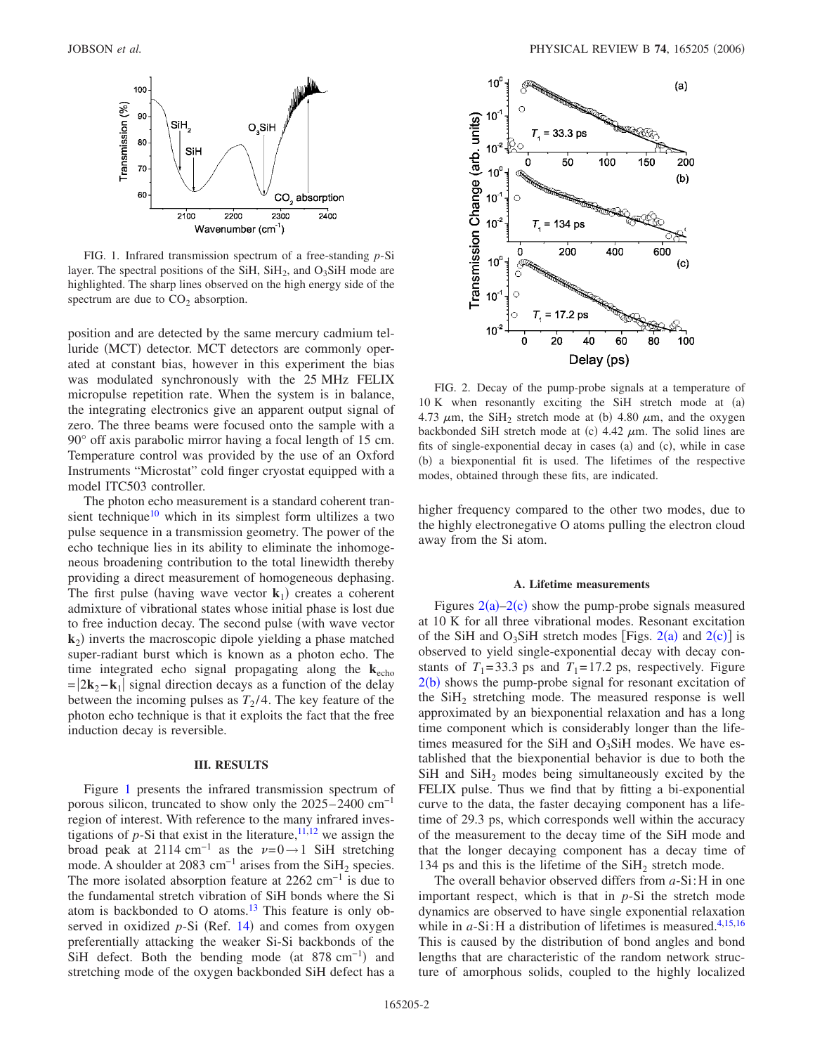<span id="page-1-0"></span>

FIG. 1. Infrared transmission spectrum of a free-standing *p*-Si layer. The spectral positions of the SiH,  $SiH<sub>2</sub>$ , and O<sub>3</sub>SiH mode are highlighted. The sharp lines observed on the high energy side of the spectrum are due to  $CO<sub>2</sub>$  absorption.

position and are detected by the same mercury cadmium telluride (MCT) detector. MCT detectors are commonly operated at constant bias, however in this experiment the bias was modulated synchronously with the 25 MHz FELIX micropulse repetition rate. When the system is in balance, the integrating electronics give an apparent output signal of zero. The three beams were focused onto the sample with a 90° off axis parabolic mirror having a focal length of 15 cm. Temperature control was provided by the use of an Oxford Instruments "Microstat" cold finger cryostat equipped with a model ITC503 controller.

The photon echo measurement is a standard coherent transient technique<sup>10</sup> which in its simplest form ultilizes a two pulse sequence in a transmission geometry. The power of the echo technique lies in its ability to eliminate the inhomogeneous broadening contribution to the total linewidth thereby providing a direct measurement of homogeneous dephasing. The first pulse (having wave vector  $\mathbf{k}_1$ ) creates a coherent admixture of vibrational states whose initial phase is lost due to free induction decay. The second pulse (with wave vector  $\mathbf{k}_2$ ) inverts the macroscopic dipole yielding a phase matched super-radiant burst which is known as a photon echo. The time integrated echo signal propagating along the  $\mathbf{k}_{echo}$  $=|2\mathbf{k}_2-\mathbf{k}_1|$  signal direction decays as a function of the delay between the incoming pulses as  $T_2/4$ . The key feature of the photon echo technique is that it exploits the fact that the free induction decay is reversible.

#### **III. RESULTS**

Figure [1](#page-1-0) presents the infrared transmission spectrum of porous silicon, truncated to show only the 2025–2400 cm−1 region of interest. With reference to the many infrared investigations of  $p$ -Si that exist in the literature,  $11,12$  $11,12$  we assign the broad peak at 2114 cm<sup>-1</sup> as the  $\nu=0\rightarrow1$  SiH stretching mode. A shoulder at 2083 cm<sup>-1</sup> arises from the SiH<sub>2</sub> species. The more isolated absorption feature at  $2262 \text{ cm}^{-1}$  is due to the fundamental stretch vibration of SiH bonds where the Si atom is backbonded to O atoms. $13$  This feature is only ob-served in oxidized p-Si (Ref. [14](#page-4-13)) and comes from oxygen preferentially attacking the weaker Si-Si backbonds of the SiH defect. Both the bending mode (at  $878 \text{ cm}^{-1}$ ) and stretching mode of the oxygen backbonded SiH defect has a

<span id="page-1-1"></span>

FIG. 2. Decay of the pump-probe signals at a temperature of  $10 K$  when resonantly exciting the SiH stretch mode at  $(a)$ 4.73  $\mu$ m, the SiH<sub>2</sub> stretch mode at (b) 4.80  $\mu$ m, and the oxygen backbonded SiH stretch mode at (c)  $4.42 \mu m$ . The solid lines are fits of single-exponential decay in cases (a) and (c), while in case (b) a biexponential fit is used. The lifetimes of the respective modes, obtained through these fits, are indicated.

higher frequency compared to the other two modes, due to the highly electronegative O atoms pulling the electron cloud away from the Si atom.

## **A. Lifetime measurements**

Figures  $2(a)-2(c)$  $2(a)-2(c)$  show the pump-probe signals measured at 10 K for all three vibrational modes. Resonant excitation of the SiH and O<sub>3</sub>SiH stretch modes [Figs.  $2(a)$  $2(a)$  and  $2(c)$ ] is observed to yield single-exponential decay with decay constants of  $T_1 = 33.3$  ps and  $T_1 = 17.2$  ps, respectively. Figure  $2(b)$  $2(b)$  shows the pump-probe signal for resonant excitation of the  $SiH<sub>2</sub>$  stretching mode. The measured response is well approximated by an biexponential relaxation and has a long time component which is considerably longer than the lifetimes measured for the SiH and  $O_3$ SiH modes. We have established that the biexponential behavior is due to both the  $SiH$  and  $SiH<sub>2</sub>$  modes being simultaneously excited by the FELIX pulse. Thus we find that by fitting a bi-exponential curve to the data, the faster decaying component has a lifetime of 29.3 ps, which corresponds well within the accuracy of the measurement to the decay time of the SiH mode and that the longer decaying component has a decay time of 134 ps and this is the lifetime of the  $SiH<sub>2</sub>$  stretch mode.

The overall behavior observed differs from *a*-Si:H in one important respect, which is that in *p*-Si the stretch mode dynamics are observed to have single exponential relaxation while in  $a$ -Si:H a distribution of lifetimes is measured.<sup>4[,15](#page-4-14)[,16](#page-4-15)</sup> This is caused by the distribution of bond angles and bond lengths that are characteristic of the random network structure of amorphous solids, coupled to the highly localized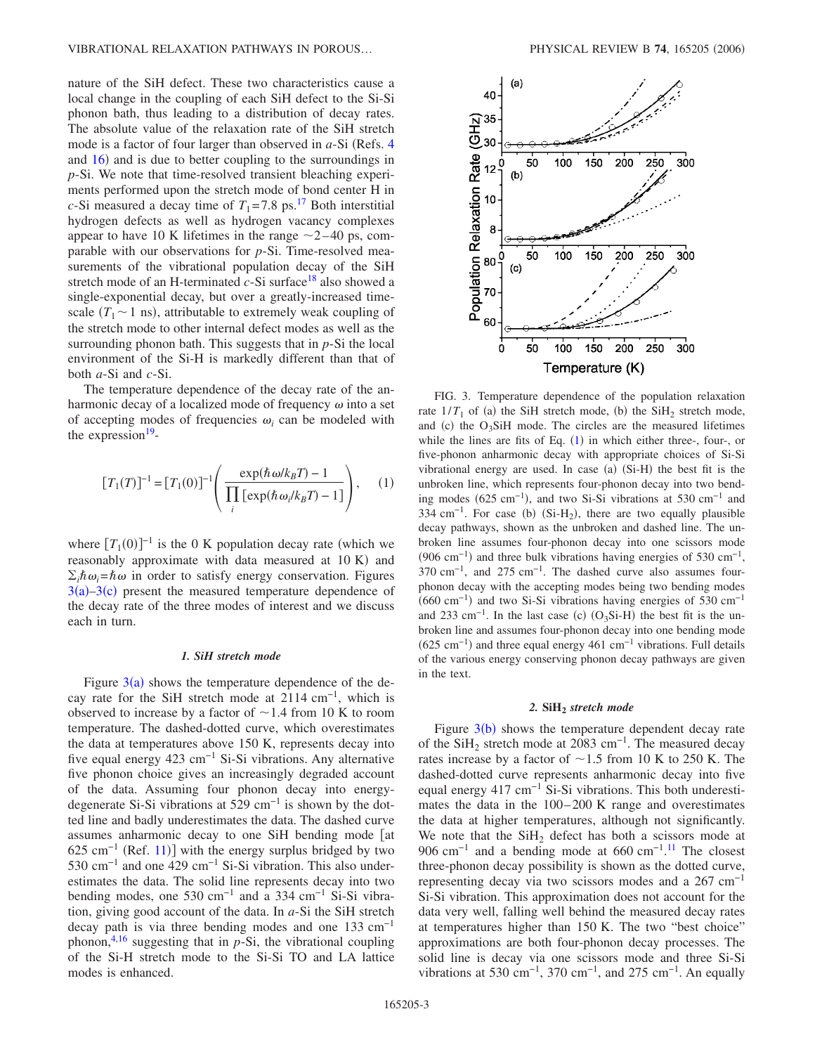nature of the SiH defect. These two characteristics cause a local change in the coupling of each SiH defect to the Si-Si phonon bath, thus leading to a distribution of decay rates. The absolute value of the relaxation rate of the SiH stretch mode is a factor of four larger than observed in *a*-Si (Refs. [4](#page-4-4)) and [16](#page-4-15)) and is due to better coupling to the surroundings in *p*-Si. We note that time-resolved transient bleaching experiments performed upon the stretch mode of bond center H in *c*-Si measured a decay time of  $T_1 = 7.8$  ps.<sup>17</sup> Both interstitial hydrogen defects as well as hydrogen vacancy complexes appear to have 10 K lifetimes in the range  $\sim$  2–40 ps, comparable with our observations for *p*-Si. Time-resolved measurements of the vibrational population decay of the SiH stretch mode of an H-terminated  $c$ -Si surface<sup>18</sup> also showed a single-exponential decay, but over a greatly-increased timescale  $(T_1 \sim 1 \text{ ns})$ , attributable to extremely weak coupling of the stretch mode to other internal defect modes as well as the surrounding phonon bath. This suggests that in *p*-Si the local environment of the Si-H is markedly different than that of both *a*-Si and *c*-Si.

The temperature dependence of the decay rate of the anharmonic decay of a localized mode of frequency  $\omega$  into a set of accepting modes of frequencies  $\omega_i$  can be modeled with the expression $19$ -

<span id="page-2-1"></span>
$$
[T_1(T)]^{-1} = [T_1(0)]^{-1} \left( \frac{\exp(\hbar \omega / k_B T) - 1}{\prod_i [\exp(\hbar \omega_i / k_B T) - 1]} \right), \quad (1)
$$

where  $[T_1(0)]^{-1}$  is the 0 K population decay rate (which we reasonably approximate with data measured at 10 K) and  $\sum_i \hbar \omega_i = \hbar \omega$  in order to satisfy energy conservation. Figures  $3(a) - 3(c)$  $3(a) - 3(c)$  present the measured temperature dependence of the decay rate of the three modes of interest and we discuss each in turn.

# *1. SiH stretch mode*

Figure  $3(a)$  $3(a)$  shows the temperature dependence of the decay rate for the SiH stretch mode at  $2114 \text{ cm}^{-1}$ , which is observed to increase by a factor of  $\sim$  1.4 from 10 K to room temperature. The dashed-dotted curve, which overestimates the data at temperatures above 150 K, represents decay into five equal energy 423 cm−1 Si-Si vibrations. Any alternative five phonon choice gives an increasingly degraded account of the data. Assuming four phonon decay into energydegenerate Si-Si vibrations at 529 cm<sup>-1</sup> is shown by the dotted line and badly underestimates the data. The dashed curve assumes anharmonic decay to one SiH bending mode [at  $625 \text{ cm}^{-1}$  (Ref. [11](#page-4-10))] with the energy surplus bridged by two 530 cm−1 and one 429 cm−1 Si-Si vibration. This also underestimates the data. The solid line represents decay into two bending modes, one 530 cm<sup>-1</sup> and a 334 cm<sup>-1</sup> Si-Si vibration, giving good account of the data. In *a*-Si the SiH stretch decay path is via three bending modes and one  $133 \text{ cm}^{-1}$ phonon,<sup>4,[16](#page-4-15)</sup> suggesting that in  $p-Si$ , the vibrational coupling of the Si-H stretch mode to the Si-Si TO and LA lattice modes is enhanced.

<span id="page-2-0"></span>

FIG. 3. Temperature dependence of the population relaxation rate  $1/T_1$  of (a) the SiH stretch mode, (b) the SiH<sub>2</sub> stretch mode, and (c) the  $O_3S$ iH mode. The circles are the measured lifetimes while the lines are fits of Eq.  $(1)$  $(1)$  $(1)$  in which either three-, four-, or five-phonon anharmonic decay with appropriate choices of Si-Si vibrational energy are used. In case (a) (Si-H) the best fit is the unbroken line, which represents four-phonon decay into two bending modes  $(625 \text{ cm}^{-1})$ , and two Si-Si vibrations at 530 cm<sup>-1</sup> and 334 cm<sup>-1</sup>. For case (b) (Si-H<sub>2</sub>), there are two equally plausible decay pathways, shown as the unbroken and dashed line. The unbroken line assumes four-phonon decay into one scissors mode  $(906 \text{ cm}^{-1})$  and three bulk vibrations having energies of 530 cm<sup>-1</sup>, 370 cm<sup>-1</sup>, and 275 cm<sup>-1</sup>. The dashed curve also assumes fourphonon decay with the accepting modes being two bending modes  $(660 \text{ cm}^{-1})$  and two Si-Si vibrations having energies of 530 cm<sup>-1</sup> and 233 cm<sup>-1</sup>. In the last case (c)  $(O_3Si-H)$  the best fit is the unbroken line and assumes four-phonon decay into one bending mode  $(625 \text{ cm}^{-1})$  and three equal energy 461 cm<sup>-1</sup> vibrations. Full details of the various energy conserving phonon decay pathways are given in the text.

#### 2. SiH<sub>2</sub> stretch mode

Figure  $3(b)$  $3(b)$  shows the temperature dependent decay rate of the SiH<sub>2</sub> stretch mode at 2083 cm<sup>-1</sup>. The measured decay rates increase by a factor of  $\sim$  1.5 from 10 K to 250 K. The dashed-dotted curve represents anharmonic decay into five equal energy 417 cm<sup>-1</sup> Si-Si vibrations. This both underestimates the data in the 100–200 K range and overestimates the data at higher temperatures, although not significantly. We note that the  $SiH<sub>2</sub>$  defect has both a scissors mode at 906 cm<sup>-1</sup> and a bending mode at 660 cm<sup>-1,[11](#page-4-10)</sup> The closest three-phonon decay possibility is shown as the dotted curve, representing decay via two scissors modes and a  $267 \text{ cm}^{-1}$ Si-Si vibration. This approximation does not account for the data very well, falling well behind the measured decay rates at temperatures higher than 150 K. The two "best choice" approximations are both four-phonon decay processes. The solid line is decay via one scissors mode and three Si-Si vibrations at 530 cm<sup>-1</sup>, 370 cm<sup>-1</sup>, and 275 cm<sup>-1</sup>. An equally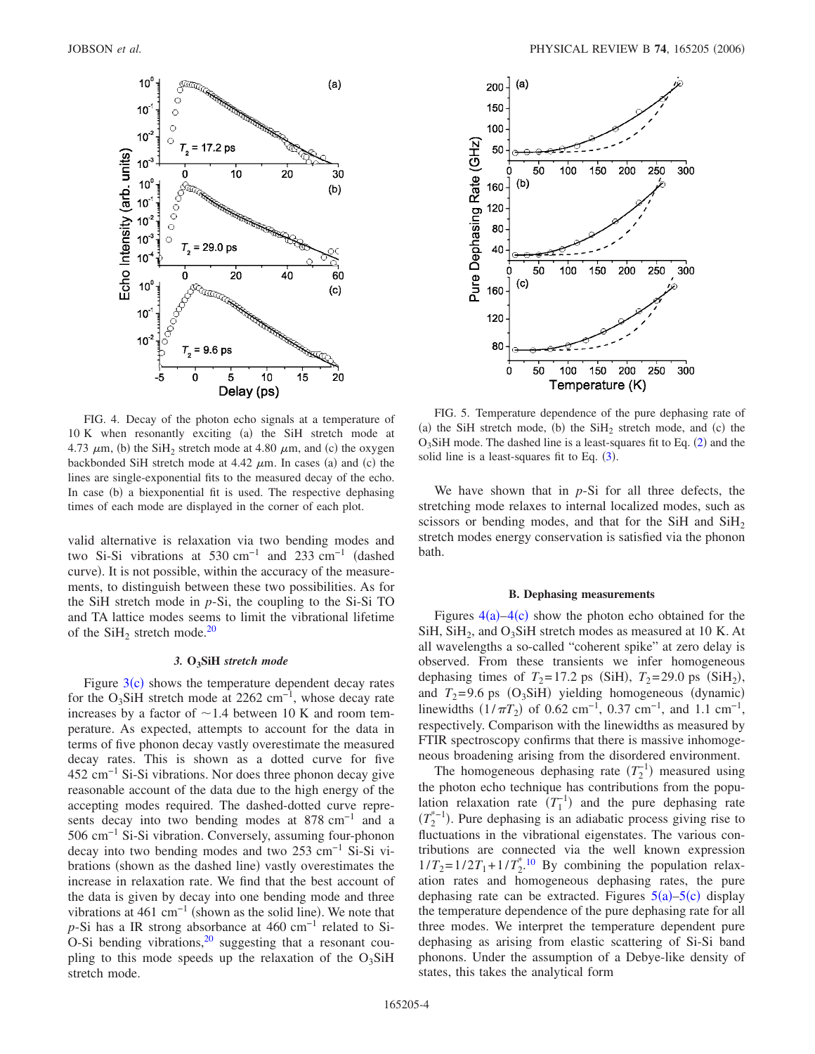<span id="page-3-0"></span>

FIG. 4. Decay of the photon echo signals at a temperature of 10 K when resonantly exciting (a) the SiH stretch mode at 4.73  $\mu$ m, (b) the SiH<sub>2</sub> stretch mode at 4.80  $\mu$ m, and (c) the oxygen backbonded SiH stretch mode at  $4.42 \mu m$ . In cases (a) and (c) the lines are single-exponential fits to the measured decay of the echo. In case (b) a biexponential fit is used. The respective dephasing times of each mode are displayed in the corner of each plot.

valid alternative is relaxation via two bending modes and two Si-Si vibrations at 530 cm−1 and 233 cm−1 dashed curve). It is not possible, within the accuracy of the measurements, to distinguish between these two possibilities. As for the SiH stretch mode in *p*-Si, the coupling to the Si-Si TO and TA lattice modes seems to limit the vibrational lifetime of the  $SiH<sub>2</sub>$  stretch mode.<sup>20</sup>

# *3.* **O3SiH** *stretch mode*

Figure  $3(c)$  $3(c)$  shows the temperature dependent decay rates for the O<sub>3</sub>SiH stretch mode at 2262 cm<sup>-1</sup>, whose decay rate increases by a factor of  $\sim$  1.4 between 10 K and room temperature. As expected, attempts to account for the data in terms of five phonon decay vastly overestimate the measured decay rates. This is shown as a dotted curve for five  $452 \text{ cm}^{-1}$  Si-Si vibrations. Nor does three phonon decay give reasonable account of the data due to the high energy of the accepting modes required. The dashed-dotted curve represents decay into two bending modes at 878 cm<sup>-1</sup> and a 506 cm−1 Si-Si vibration. Conversely, assuming four-phonon decay into two bending modes and two 253 cm−1 Si-Si vibrations (shown as the dashed line) vastly overestimates the increase in relaxation rate. We find that the best account of the data is given by decay into one bending mode and three vibrations at 461 cm<sup>-1</sup> (shown as the solid line). We note that *p*-Si has a IR strong absorbance at 460 cm<sup>-1</sup> related to Si-O-Si bending vibrations, $2^0$  suggesting that a resonant coupling to this mode speeds up the relaxation of the  $O_3SH$ stretch mode.

<span id="page-3-1"></span>

FIG. 5. Temperature dependence of the pure dephasing rate of (a) the SiH stretch mode, (b) the  $SiH<sub>2</sub>$  stretch mode, and (c) the  $O_3$ SiH mode. The dashed line is a least-squares fit to Eq. ([2](#page-4-19)) and the solid line is a least-squares fit to Eq.  $(3)$  $(3)$  $(3)$ .

We have shown that in *p*-Si for all three defects, the stretching mode relaxes to internal localized modes, such as scissors or bending modes, and that for the SiH and  $SiH<sub>2</sub>$ stretch modes energy conservation is satisfied via the phonon bath.

#### **B. Dephasing measurements**

Figures  $4(a) - 4(c)$  $4(a) - 4(c)$  show the photon echo obtained for the  $SiH$ ,  $SiH<sub>2</sub>$ , and O<sub>3</sub>SiH stretch modes as measured at 10 K. At all wavelengths a so-called "coherent spike" at zero delay is observed. From these transients we infer homogeneous dephasing times of  $T_2 = 17.2$  ps (SiH),  $T_2 = 29.0$  ps (SiH<sub>2</sub>), and  $T_2$ =9.6 ps (O<sub>3</sub>SiH) yielding homogeneous (dynamic) linewidths  $(1/\pi T_2)$  of 0.62 cm<sup>-1</sup>, 0.37 cm<sup>-1</sup>, and 1.1 cm<sup>-1</sup>, respectively. Comparison with the linewidths as measured by FTIR spectroscopy confirms that there is massive inhomogeneous broadening arising from the disordered environment.

The homogeneous dephasing rate  $(T_2^{-1})$  measured using the photon echo technique has contributions from the population relaxation rate  $(T_1^{-1})$  and the pure dephasing rate  $(T_2^{*-1})$ . Pure dephasing is an adiabatic process giving rise to fluctuations in the vibrational eigenstates. The various contributions are connected via the well known expression  $1/T_2 = 1/2T_1 + 1/T_2^{*10}$  $1/T_2 = 1/2T_1 + 1/T_2^{*10}$  $1/T_2 = 1/2T_1 + 1/T_2^{*10}$  By combining the population relaxation rates and homogeneous dephasing rates, the pure dephasing rate can be extracted. Figures  $5(a)$  $5(a)$ - $5(c)$  display the temperature dependence of the pure dephasing rate for all three modes. We interpret the temperature dependent pure dephasing as arising from elastic scattering of Si-Si band phonons. Under the assumption of a Debye-like density of states, this takes the analytical form